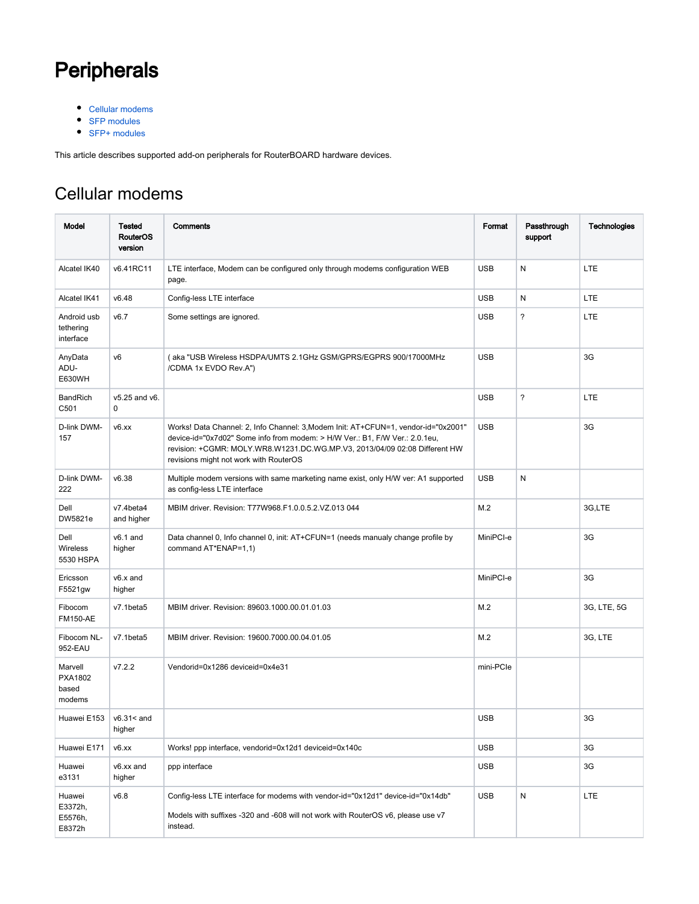## **Peripherals**

- [Cellular modems](#page-0-0)
- [SFP modules](#page-4-0)
- [SFP+ modules](#page-6-0)

This article describes supported add-on peripherals for RouterBOARD hardware devices.

## <span id="page-0-0"></span>Cellular modems

| Model                                        | Tested<br><b>RouterOS</b><br>version | Comments                                                                                                                                                                                                                                                                                  | Format     | Passthrough<br>support   | Technologies |
|----------------------------------------------|--------------------------------------|-------------------------------------------------------------------------------------------------------------------------------------------------------------------------------------------------------------------------------------------------------------------------------------------|------------|--------------------------|--------------|
| Alcatel IK40                                 | v6.41RC11                            | LTE interface, Modem can be configured only through modems configuration WEB<br>page.                                                                                                                                                                                                     | <b>USB</b> | N                        | <b>LTE</b>   |
| Alcatel IK41                                 | v6.48                                | Config-less LTE interface                                                                                                                                                                                                                                                                 | <b>USB</b> | N                        | LTE          |
| Android usb<br>tethering<br>interface        | v6.7                                 | Some settings are ignored.                                                                                                                                                                                                                                                                | <b>USB</b> | ?                        | <b>LTE</b>   |
| AnyData<br>ADU-<br>E630WH                    | v6                                   | (aka "USB Wireless HSDPA/UMTS 2.1GHz GSM/GPRS/EGPRS 900/17000MHz<br>/CDMA 1x EVDO Rev.A")                                                                                                                                                                                                 | <b>USB</b> |                          | 3G           |
| BandRich<br>C501                             | v5.25 and v6.<br>0                   |                                                                                                                                                                                                                                                                                           | <b>USB</b> | $\overline{\phantom{a}}$ | <b>LTE</b>   |
| D-link DWM-<br>157                           | v6.xx                                | Works! Data Channel: 2, Info Channel: 3, Modem Init: AT+CFUN=1, vendor-id="0x2001"<br>device-id="0x7d02" Some info from modem: > H/W Ver.: B1, F/W Ver.: 2.0.1eu,<br>revision: +CGMR: MOLY.WR8.W1231.DC.WG.MP.V3, 2013/04/09 02:08 Different HW<br>revisions might not work with RouterOS | <b>USB</b> |                          | 3G           |
| D-link DWM-<br>222                           | v6.38                                | Multiple modem versions with same marketing name exist, only H/W ver: A1 supported<br>as config-less LTE interface                                                                                                                                                                        |            | N                        |              |
| Dell<br>DW5821e                              | v7.4beta4<br>and higher              | MBIM driver. Revision: T77W968.F1.0.0.5.2.VZ.013 044                                                                                                                                                                                                                                      | M.2        |                          | 3G,LTE       |
| Dell<br>Wireless<br>5530 HSPA                | $v6.1$ and<br>higher                 | Data channel 0, Info channel 0, init: AT+CFUN=1 (needs manualy change profile by<br>command AT*ENAP=1,1)                                                                                                                                                                                  | MiniPCI-e  |                          | 3G           |
| Ericsson<br>F5521gw                          | v6.x and<br>higher                   |                                                                                                                                                                                                                                                                                           | MiniPCI-e  |                          | 3G           |
| Fibocom<br><b>FM150-AE</b>                   | v7.1beta5                            | MBIM driver. Revision: 89603.1000.00.01.01.03                                                                                                                                                                                                                                             | M.2        |                          | 3G, LTE, 5G  |
| Fibocom NL-<br>952-EAU                       | v7.1beta5                            | MBIM driver. Revision: 19600.7000.00.04.01.05                                                                                                                                                                                                                                             | M.2        |                          | 3G, LTE      |
| Marvell<br><b>PXA1802</b><br>based<br>modems | V7.2.2                               | Vendorid=0x1286 deviceid=0x4e31                                                                                                                                                                                                                                                           | mini-PCIe  |                          |              |
| Huawei E153                                  | $v6.31 <$ and<br>nigher              |                                                                                                                                                                                                                                                                                           | <b>USB</b> |                          | 3G           |
| Huawei E171                                  | v6.xx                                | Works! ppp interface, vendorid=0x12d1 deviceid=0x140c                                                                                                                                                                                                                                     | <b>USB</b> |                          | 3G           |
| Huawei<br>e3131                              | v6.xx and<br>higher                  | ppp interface                                                                                                                                                                                                                                                                             | <b>USB</b> |                          | 3G           |
| Huawei<br>E3372h,<br>E5576h,<br>E8372h       | v6.8                                 | Config-less LTE interface for modems with vendor-id="0x12d1" device-id="0x14db"<br>Models with suffixes -320 and -608 will not work with RouterOS v6, please use v7<br>instead.                                                                                                           | <b>USB</b> | N                        | LTE          |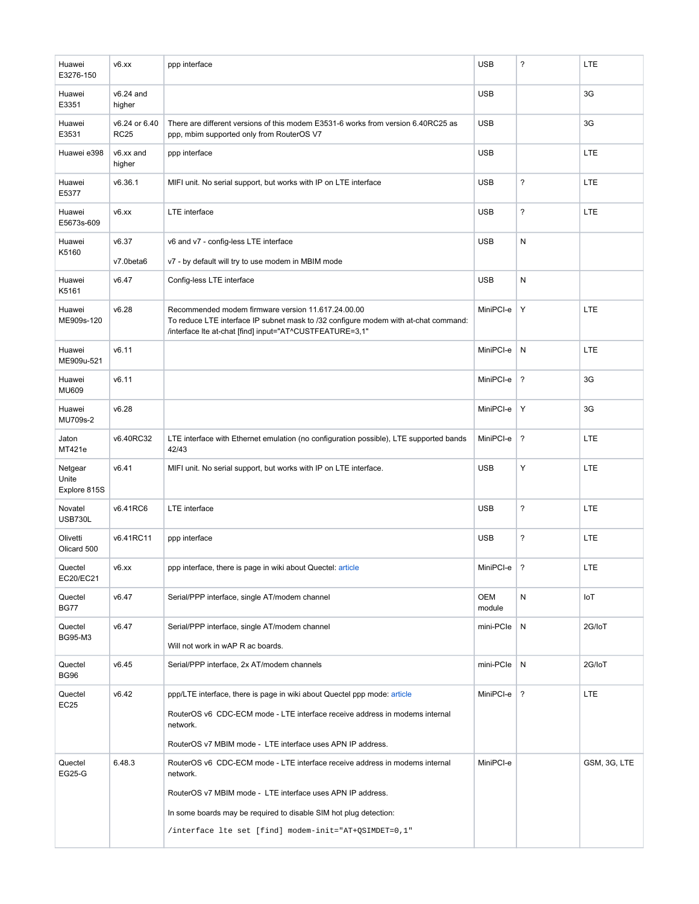| Huawei<br>E3276-150              | v6.xx                        | ppp interface                                                                                                                                                                                                                                                                       | <b>USB</b>    | $\overline{\phantom{a}}$ | <b>LTE</b>   |
|----------------------------------|------------------------------|-------------------------------------------------------------------------------------------------------------------------------------------------------------------------------------------------------------------------------------------------------------------------------------|---------------|--------------------------|--------------|
| Huawei<br>E3351                  | $v6.24$ and<br>higher        |                                                                                                                                                                                                                                                                                     | <b>USB</b>    |                          | 3G           |
| Huawei<br>E3531                  | v6.24 or 6.40<br><b>RC25</b> | There are different versions of this modem E3531-6 works from version 6.40RC25 as<br>ppp, mbim supported only from RouterOS V7                                                                                                                                                      | <b>USB</b>    |                          | 3G           |
| Huawei e398                      | v6.xx and<br>higher          | ppp interface                                                                                                                                                                                                                                                                       | <b>USB</b>    |                          | <b>LTE</b>   |
| Huawei<br>E5377                  | v6.36.1                      | MIFI unit. No serial support, but works with IP on LTE interface                                                                                                                                                                                                                    | <b>USB</b>    | ?                        | <b>LTE</b>   |
| Huawei<br>E5673s-609             | v6.xx                        | LTE interface                                                                                                                                                                                                                                                                       | <b>USB</b>    | $\overline{\phantom{a}}$ | LTE          |
| Huawei                           | v6.37                        | v6 and v7 - config-less LTE interface                                                                                                                                                                                                                                               | <b>USB</b>    | ${\sf N}$                |              |
| K5160                            | v7.0beta6                    | v7 - by default will try to use modem in MBIM mode                                                                                                                                                                                                                                  |               |                          |              |
| Huawei<br>K5161                  | v6.47                        | Config-less LTE interface                                                                                                                                                                                                                                                           | <b>USB</b>    | ${\sf N}$                |              |
| Huawei<br>ME909s-120             | v6.28                        | Recommended modem firmware version 11.617.24.00.00<br>To reduce LTE interface IP subnet mask to /32 configure modem with at-chat command:<br>/interface Ite at-chat [find] input="AT^CUSTFEATURE=3,1"                                                                               | MiniPCI-e     | Υ                        | LTE          |
| Huawei<br>ME909u-521             | v6.11                        |                                                                                                                                                                                                                                                                                     | MiniPCI-e     | ${\sf N}$                | <b>LTE</b>   |
| Huawei<br><b>MU609</b>           | v6.11                        |                                                                                                                                                                                                                                                                                     | MiniPCI-e     | $\overline{\mathbf{?}}$  | 3G           |
| Huawei<br>MU709s-2               | v6.28                        |                                                                                                                                                                                                                                                                                     | MiniPCI-e     | Υ                        | 3G           |
| Jaton<br>MT421e                  | v6.40RC32                    | LTE interface with Ethernet emulation (no configuration possible), LTE supported bands<br>42/43                                                                                                                                                                                     |               | $\overline{\mathbf{?}}$  | <b>LTE</b>   |
| Netgear<br>Unite<br>Explore 815S | v6.41                        | MIFI unit. No serial support, but works with IP on LTE interface.                                                                                                                                                                                                                   |               | Υ                        | <b>LTE</b>   |
| Novatel<br><b>USB730L</b>        | v6.41RC6                     | LTE interface                                                                                                                                                                                                                                                                       | <b>USB</b>    | $\overline{\phantom{a}}$ | <b>LTE</b>   |
| Olivetti<br>Olicard 500          | v6.41RC11                    | ppp interface                                                                                                                                                                                                                                                                       | <b>USB</b>    | ?                        | <b>LTE</b>   |
| Quectel<br>EC20/EC21             | v6.xx                        | ppp interface, there is page in wiki about Quectel: article                                                                                                                                                                                                                         | MiniPCI-e     | ?                        | LTE          |
| Quectel<br><b>BG77</b>           | v6.47                        | Serial/PPP interface, single AT/modem channel                                                                                                                                                                                                                                       | OEM<br>module | ${\sf N}$                | loT          |
| Quectel<br><b>BG95-M3</b>        | v6.47                        | Serial/PPP interface, single AT/modem channel<br>Will not work in wAP R ac boards.                                                                                                                                                                                                  | $min$ -PCIe   | N                        | 2G/IoT       |
| Quectel<br><b>BG96</b>           | v6.45                        | Serial/PPP interface, 2x AT/modem channels                                                                                                                                                                                                                                          | mini-PCIe     | N                        | 2G/IoT       |
| Quectel<br><b>EC25</b>           | v6.42                        | ppp/LTE interface, there is page in wiki about Quectel ppp mode: article<br>RouterOS v6 CDC-ECM mode - LTE interface receive address in modems internal<br>network.<br>RouterOS v7 MBIM mode - LTE interface uses APN IP address.                                                   | MiniPCI-e     | $\cdot$                  | <b>LTE</b>   |
| Quectel<br>EG25-G                | 6.48.3                       | RouterOS v6 CDC-ECM mode - LTE interface receive address in modems internal<br>network.<br>RouterOS v7 MBIM mode - LTE interface uses APN IP address.<br>In some boards may be required to disable SIM hot plug detection:<br>/interface lte set [find] modem-init="AT+QSIMDET=0,1" | MiniPCI-e     |                          | GSM, 3G, LTE |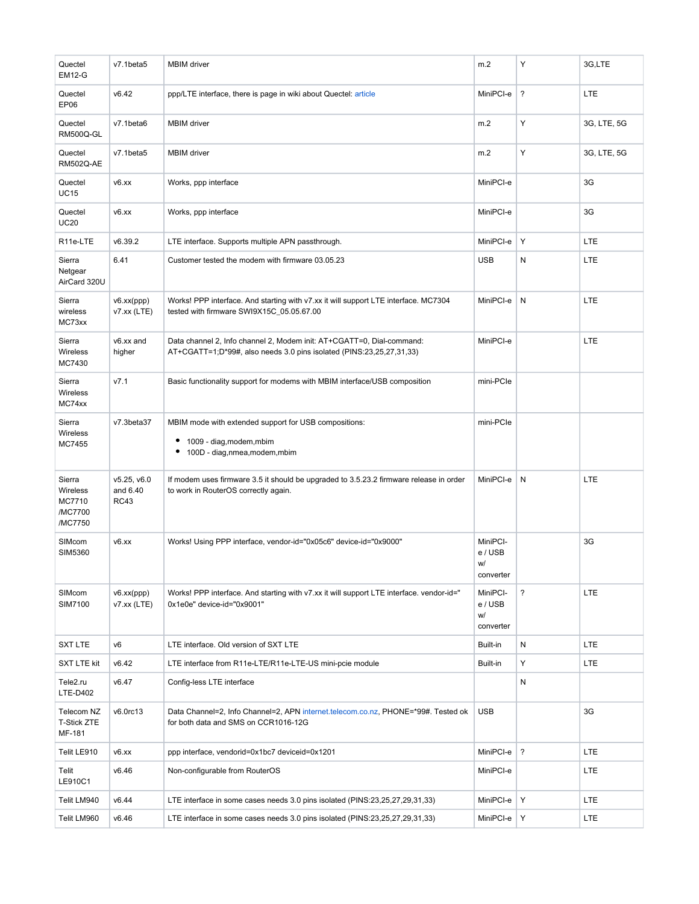| Quectel<br><b>EM12-G</b>                           | v7.1beta5                              | <b>MBIM</b> driver                                                                                                                            | m.2                                    | Υ                        | 3G,LTE      |
|----------------------------------------------------|----------------------------------------|-----------------------------------------------------------------------------------------------------------------------------------------------|----------------------------------------|--------------------------|-------------|
| Quectel<br>EP06                                    | v6.42                                  | ppp/LTE interface, there is page in wiki about Quectel: article                                                                               | MiniPCI-e                              | $\overline{\mathbf{?}}$  | <b>LTE</b>  |
| Quectel<br>RM500Q-GL                               | v7.1beta6                              | <b>MBIM</b> driver                                                                                                                            | m.2                                    | Υ                        | 3G, LTE, 5G |
| Quectel<br><b>RM502Q-AE</b>                        | v7.1beta5                              | <b>MBIM</b> driver                                                                                                                            | m.2                                    | Υ                        | 3G, LTE, 5G |
| Quectel<br><b>UC15</b>                             | v6.xx                                  | Works, ppp interface                                                                                                                          | MiniPCI-e                              |                          | 3G          |
| Quectel<br><b>UC20</b>                             | v6.xx                                  | Works, ppp interface                                                                                                                          | MiniPCI-e                              |                          | 3G          |
| R11e-LTE                                           | v6.39.2                                | LTE interface. Supports multiple APN passthrough.                                                                                             | MiniPCI-e                              | Υ                        | LTE         |
| Sierra<br>Netgear<br>AirCard 320U                  | 6.41                                   | Customer tested the modem with firmware 03.05.23                                                                                              | <b>USB</b>                             | N                        | <b>LTE</b>  |
| Sierra<br>wireless<br>MC73xx                       | v6.xx(ppp)<br>$v7.xx$ (LTE)            | Works! PPP interface. And starting with v7.xx it will support LTE interface. MC7304<br>tested with firmware SWI9X15C 05.05.67.00              | MiniPCI-e                              | N                        | <b>LTE</b>  |
| Sierra<br>Wireless<br>MC7430                       | v6.xx and<br>higher                    | Data channel 2, Info channel 2, Modem init: AT+CGATT=0, Dial-command:<br>AT+CGATT=1;D*99#, also needs 3.0 pins isolated (PINS:23,25,27,31,33) |                                        |                          | <b>LTE</b>  |
| Sierra<br>Wireless<br>MC74xx                       | V7.1                                   | Basic functionality support for modems with MBIM interface/USB composition                                                                    | mini-PCIe                              |                          |             |
| Sierra<br>Wireless<br>MC7455                       | v7.3beta37                             | MBIM mode with extended support for USB compositions:<br>1009 - diag, modem, mbim<br>٠<br>100D - diag,nmea,modem,mbim<br>٠                    | mini-PCIe                              |                          |             |
| Sierra<br>Wireless<br>MC7710<br>/MC7700<br>/MC7750 | v5.25, v6.0<br>and 6.40<br><b>RC43</b> | If modem uses firmware 3.5 it should be upgraded to 3.5.23.2 firmware release in order<br>to work in RouterOS correctly again.                | MiniPCI-e                              | N                        | <b>LTE</b>  |
| SIMcom<br><b>SIM5360</b>                           | v6.xx                                  | Works! Using PPP interface, vendor-id="0x05c6" device-id="0x9000"                                                                             | MiniPCI-<br>e / USB<br>w/<br>converter |                          | 3G          |
| SIMcom<br>SIM7100                                  | v6.xx(ppp)<br>$v7.xx$ (LTE)            | Works! PPP interface. And starting with v7.xx it will support LTE interface. vendor-id="<br>0x1e0e" device-id="0x9001"                        | MiniPCI-<br>e / USB<br>w/<br>converter | $\overline{\phantom{a}}$ | <b>LTE</b>  |
| <b>SXT LTE</b>                                     | v6                                     | LTE interface. Old version of SXT LTE                                                                                                         | Built-in                               | ${\sf N}$                | <b>LTE</b>  |
| <b>SXT LTE kit</b>                                 | v6.42                                  | LTE interface from R11e-LTE/R11e-LTE-US mini-pcie module                                                                                      | Built-in                               | Υ                        | <b>LTE</b>  |
| Tele2.ru<br>LTE-D402                               | v6.47                                  | Config-less LTE interface                                                                                                                     |                                        | N                        |             |
| Telecom NZ<br><b>T-Stick ZTE</b><br>MF-181         | $v6.0$ rc13                            | Data Channel=2, Info Channel=2, APN internet.telecom.co.nz, PHONE=*99#. Tested ok<br>for both data and SMS on CCR1016-12G                     | <b>USB</b>                             |                          | 3G          |
| Telit LE910                                        | v6.xx                                  | ppp interface, vendorid=0x1bc7 deviceid=0x1201                                                                                                | MiniPCI-e                              | $\overline{\cdot}$       | <b>LTE</b>  |
| Telit<br>LE910C1                                   | v6.46                                  | Non-configurable from RouterOS                                                                                                                | MiniPCI-e                              |                          | <b>LTE</b>  |
| Telit LM940                                        | v6.44                                  | LTE interface in some cases needs 3.0 pins isolated (PINS:23,25,27,29,31,33)                                                                  | MiniPCI-e                              | Y                        | <b>LTE</b>  |
| Telit LM960                                        | v6.46                                  | LTE interface in some cases needs 3.0 pins isolated (PINS:23,25,27,29,31,33)                                                                  | MiniPCI-e                              | Y                        | <b>LTE</b>  |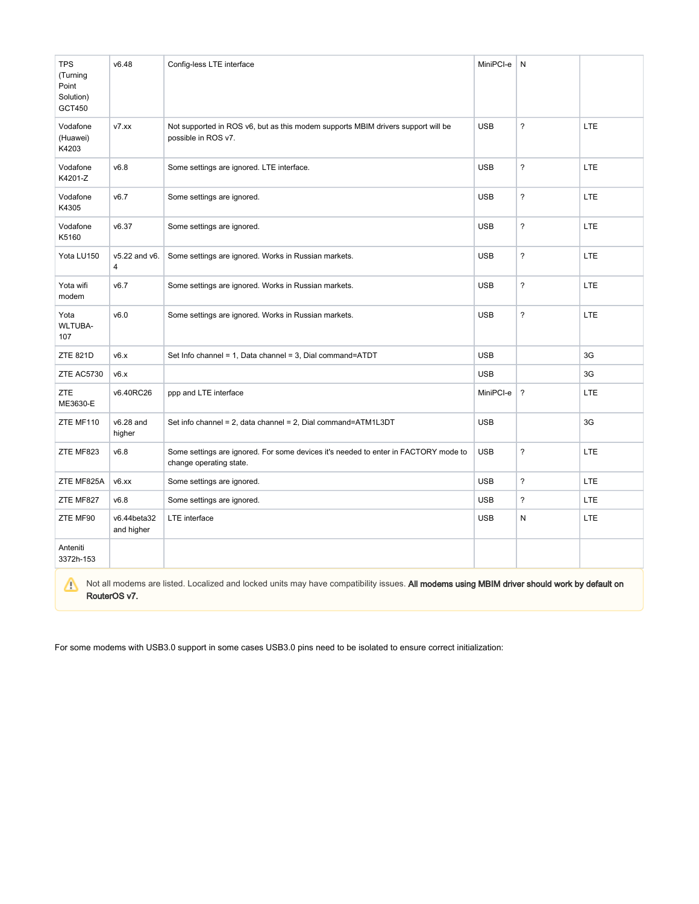| <b>TPS</b><br>(Turning<br>Point<br>Solution)<br>GCT450 | v6.48                               | Config-less LTE interface                                                                                      | MiniPCI-e  | N                        |            |
|--------------------------------------------------------|-------------------------------------|----------------------------------------------------------------------------------------------------------------|------------|--------------------------|------------|
| Vodafone<br>(Huawei)<br>K4203                          | v7.xx                               | Not supported in ROS v6, but as this modem supports MBIM drivers support will be<br>possible in ROS v7.        | <b>USB</b> | $\overline{\phantom{a}}$ | LTE.       |
| Vodafone<br>K4201-Z                                    | v6.8                                | Some settings are ignored. LTE interface.                                                                      | <b>USB</b> | $\overline{\phantom{a}}$ | <b>LTE</b> |
| Vodafone<br>K4305                                      | v6.7                                | Some settings are ignored.                                                                                     | <b>USB</b> | $\overline{\phantom{a}}$ | LTE.       |
| Vodafone<br>K5160                                      | v6.37                               | Some settings are ignored.                                                                                     | <b>USB</b> | $\overline{\phantom{a}}$ | LTE        |
| Yota LU150                                             | $v5.22$ and $v6.$<br>$\overline{4}$ | Some settings are ignored. Works in Russian markets.                                                           | <b>USB</b> | $\overline{\phantom{a}}$ | LTE.       |
| Yota wifi<br>modem                                     | v6.7                                | Some settings are ignored. Works in Russian markets.                                                           | <b>USB</b> | $\overline{\phantom{0}}$ | LTE.       |
| Yota<br><b>WLTUBA-</b><br>107                          | v6.0                                | Some settings are ignored. Works in Russian markets.                                                           | <b>USB</b> | $\overline{\phantom{a}}$ | LTE        |
| <b>ZTE 821D</b>                                        | v6.x                                | Set Info channel = 1, Data channel = 3, Dial command=ATDT                                                      | <b>USB</b> |                          | 3G         |
| ZTE AC5730                                             | v6.x                                |                                                                                                                | <b>USB</b> |                          | 3G         |
| ZTE<br>ME3630-E                                        | v6.40RC26                           | ppp and LTE interface                                                                                          | MiniPCI-e  | $\overline{\phantom{a}}$ | <b>LTE</b> |
| ZTE MF110                                              | v6.28 and<br>higher                 | Set info channel = 2, data channel = 2, Dial command=ATM1L3DT                                                  | <b>USB</b> |                          | 3G         |
| ZTE MF823                                              | v6.8                                | Some settings are ignored. For some devices it's needed to enter in FACTORY mode to<br>change operating state. | <b>USB</b> | $\overline{\phantom{a}}$ | LTE.       |
| ZTE MF825A                                             | v6.xx                               | Some settings are ignored.                                                                                     | <b>USB</b> | $\overline{?}$           | LTE.       |
| ZTE MF827                                              | v6.8                                | Some settings are ignored.                                                                                     | <b>USB</b> | ?                        | <b>LTE</b> |
| ZTE MF90                                               | v6.44beta32<br>and higher           | LTE interface                                                                                                  | <b>USB</b> | N                        | <b>LTE</b> |
| Anteniti<br>3372h-153                                  |                                     |                                                                                                                |            |                          |            |

Not all modems are listed. Localized and locked units may have compatibility issues. All modems using MBIM driver should work by default on RouterOS v7.

For some modems with USB3.0 support in some cases USB3.0 pins need to be isolated to ensure correct initialization: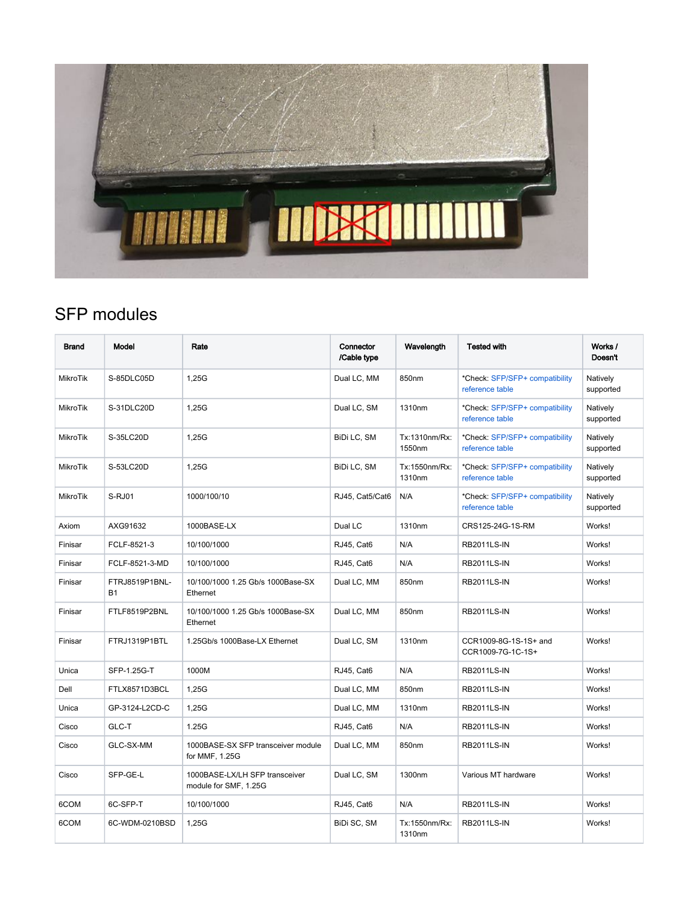

## <span id="page-4-0"></span>SFP modules

| <b>Brand</b>    | Model                       | Rate                                                    | Connector<br>/Cable type | Wavelength              | <b>Tested with</b>                                | Works /<br>Doesn't    |
|-----------------|-----------------------------|---------------------------------------------------------|--------------------------|-------------------------|---------------------------------------------------|-----------------------|
| <b>MikroTik</b> | S-85DLC05D                  | 1.25G                                                   | Dual LC, MM              | 850nm                   | *Check: SFP/SFP+ compatibility<br>reference table | Natively<br>supported |
| MikroTik        | S-31DLC20D                  | 1,25G                                                   | Dual LC, SM              | 1310nm                  | *Check: SFP/SFP+ compatibility<br>reference table | Natively<br>supported |
| MikroTik        | S-35LC20D                   | 1,25G                                                   | BiDi LC, SM              | Tx:1310nm/Rx:<br>1550nm | *Check: SFP/SFP+ compatibility<br>reference table | Natively<br>supported |
| <b>MikroTik</b> | S-53LC20D                   | 1,25G                                                   | BiDi LC, SM              | Tx:1550nm/Rx:<br>1310nm | *Check: SFP/SFP+ compatibility<br>reference table | Natively<br>supported |
| MikroTik        | S-RJ01                      | 1000/100/10                                             | RJ45, Cat5/Cat6          | N/A                     | *Check: SFP/SFP+ compatibility<br>reference table | Natively<br>supported |
| Axiom           | AXG91632                    | 1000BASE-LX                                             | Dual LC                  | 1310nm                  | CRS125-24G-1S-RM                                  | Works!                |
| Finisar         | FCLF-8521-3                 | 10/100/1000                                             | RJ45, Cat6               | N/A                     | <b>RB2011LS-IN</b>                                | Works!                |
| Finisar         | FCLF-8521-3-MD              | 10/100/1000                                             | RJ45, Cat6               | N/A                     | <b>RB2011LS-IN</b>                                | Works!                |
| Finisar         | FTRJ8519P1BNL-<br><b>B1</b> | 10/100/1000 1.25 Gb/s 1000Base-SX<br>Ethernet           | Dual LC, MM              | 850nm                   | <b>RB2011LS-IN</b>                                | Works!                |
| Finisar         | FTLF8519P2BNL               | 10/100/1000 1.25 Gb/s 1000Base-SX<br>Ethernet           | Dual LC, MM              | 850nm                   | <b>RB2011LS-IN</b>                                | Works!                |
| Finisar         | FTRJ1319P1BTL               | 1.25Gb/s 1000Base-LX Ethernet                           | Dual LC, SM              | 1310nm                  | CCR1009-8G-1S-1S+ and<br>CCR1009-7G-1C-1S+        | Works!                |
| Unica           | SFP-1.25G-T                 | 1000M                                                   | RJ45, Cat6               | N/A                     | <b>RB2011LS-IN</b>                                | Works!                |
| Dell            | FTLX8571D3BCL               | 1,25G                                                   | Dual LC, MM              | 850nm                   | <b>RB2011LS-IN</b>                                | Works!                |
| Unica           | GP-3124-L2CD-C              | 1,25G                                                   | Dual LC, MM              | 1310nm                  | <b>RB2011LS-IN</b>                                | Works!                |
| Cisco           | GLC-T                       | 1.25G                                                   | RJ45, Cat6               | N/A                     | <b>RB2011LS-IN</b>                                | Works!                |
| Cisco           | GLC-SX-MM                   | 1000BASE-SX SFP transceiver module<br>for MMF, 1.25G    | Dual LC, MM              | 850nm                   | <b>RB2011LS-IN</b>                                | Works!                |
| Cisco           | SFP-GE-L                    | 1000BASE-LX/LH SFP transceiver<br>module for SMF, 1.25G | Dual LC, SM              | 1300nm                  | Various MT hardware                               | Works!                |
| 6COM            | 6C-SFP-T                    | 10/100/1000                                             | RJ45, Cat6               | N/A                     | <b>RB2011LS-IN</b>                                | Works!                |
| 6COM            | 6C-WDM-0210BSD              | 1,25G                                                   | BiDi SC, SM              | Tx:1550nm/Rx:<br>1310nm | <b>RB2011LS-IN</b>                                | Works!                |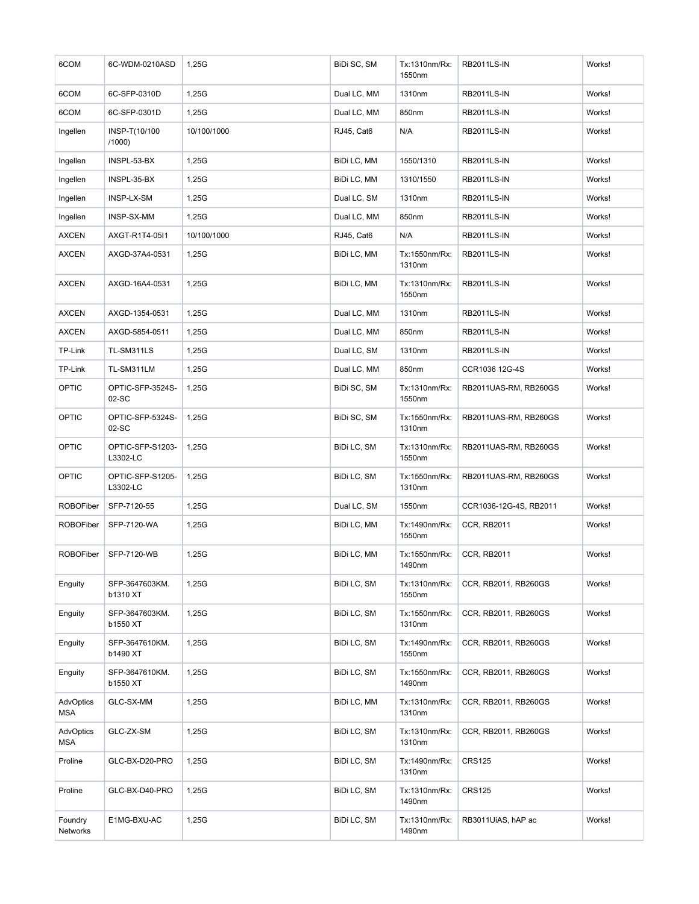| 6COM                       | 6C-WDM-0210ASD               | 1,25G       | BiDi SC, SM | Tx:1310nm/Rx:<br>1550nm | <b>RB2011LS-IN</b>     | Works! |
|----------------------------|------------------------------|-------------|-------------|-------------------------|------------------------|--------|
| 6COM                       | 6C-SFP-0310D                 | 1,25G       | Dual LC, MM | 1310nm                  | <b>RB2011LS-IN</b>     | Works! |
| 6COM                       | 6C-SFP-0301D                 | 1,25G       | Dual LC, MM | 850nm                   | <b>RB2011LS-IN</b>     | Works! |
| Ingellen                   | INSP-T(10/100<br>/1000)      | 10/100/1000 | RJ45, Cat6  | N/A                     | <b>RB2011LS-IN</b>     | Works! |
| Ingellen                   | INSPL-53-BX                  | 1,25G       | BiDi LC, MM | 1550/1310               | <b>RB2011LS-IN</b>     | Works! |
| Ingellen                   | INSPL-35-BX                  | 1,25G       | BiDi LC, MM | 1310/1550               | <b>RB2011LS-IN</b>     | Works! |
| Ingellen                   | INSP-LX-SM                   | 1,25G       | Dual LC, SM | 1310nm                  | <b>RB2011LS-IN</b>     | Works! |
| Ingellen                   | INSP-SX-MM                   | 1,25G       | Dual LC, MM | 850nm                   | <b>RB2011LS-IN</b>     | Works! |
| <b>AXCEN</b>               | AXGT-R1T4-05I1               | 10/100/1000 | RJ45, Cat6  | N/A                     | <b>RB2011LS-IN</b>     | Works! |
| AXCEN                      | AXGD-37A4-0531               | 1,25G       | BiDi LC, MM | Tx:1550nm/Rx:<br>1310nm | <b>RB2011LS-IN</b>     | Works! |
| <b>AXCEN</b>               | AXGD-16A4-0531               | 1,25G       | BiDi LC, MM | Tx:1310nm/Rx:<br>1550nm | <b>RB2011LS-IN</b>     | Works! |
| <b>AXCEN</b>               | AXGD-1354-0531               | 1,25G       | Dual LC, MM | 1310nm                  | <b>RB2011LS-IN</b>     | Works! |
| <b>AXCEN</b>               | AXGD-5854-0511               | 1,25G       | Dual LC, MM | 850nm                   | <b>RB2011LS-IN</b>     | Works! |
| TP-Link                    | TL-SM311LS                   | 1,25G       | Dual LC, SM | 1310nm                  | <b>RB2011LS-IN</b>     | Works! |
| TP-Link                    | TL-SM311LM                   | 1,25G       | Dual LC, MM | 850nm                   | CCR1036 12G-4S         | Works! |
| OPTIC                      | OPTIC-SFP-3524S-<br>02-SC    | 1,25G       | BiDi SC, SM | Tx:1310nm/Rx:<br>1550nm | RB2011UAS-RM, RB260GS  | Works! |
| OPTIC                      | OPTIC-SFP-5324S-<br>02-SC    | 1,25G       | BiDi SC, SM | Tx:1550nm/Rx:<br>1310nm | RB2011UAS-RM, RB260GS  | Works! |
| OPTIC                      | OPTIC-SFP-S1203-<br>L3302-LC | 1,25G       | BiDi LC, SM | Tx:1310nm/Rx:<br>1550nm | RB2011UAS-RM, RB260GS  | Works! |
| OPTIC                      | OPTIC-SFP-S1205-<br>L3302-LC | 1,25G       | BiDi LC, SM | Tx:1550nm/Rx:<br>1310nm | RB2011UAS-RM, RB260GS  | Works! |
| <b>ROBOFiber</b>           | SFP-7120-55                  | 1,25G       | Dual LC, SM | 1550nm                  | CCR1036-12G-4S, RB2011 | Works! |
| <b>ROBOFiber</b>           | SFP-7120-WA                  | 1,25G       | BiDi LC, MM | Tx:1490nm/Rx:<br>1550nm | <b>CCR, RB2011</b>     | Works! |
| <b>ROBOFiber</b>           | SFP-7120-WB                  | 1,25G       | BiDi LC, MM | Tx:1550nm/Rx:<br>1490nm | <b>CCR, RB2011</b>     | Works! |
| Enguity                    | SFP-3647603KM.<br>b1310 XT   | 1,25G       | BiDi LC, SM | Tx:1310nm/Rx:<br>1550nm | CCR, RB2011, RB260GS   | Works! |
| Enguity                    | SFP-3647603KM.<br>b1550 XT   | 1,25G       | BiDi LC, SM | Tx:1550nm/Rx:<br>1310nm | CCR, RB2011, RB260GS   | Works! |
| Enguity                    | SFP-3647610KM.<br>b1490 XT   | 1,25G       | BiDi LC, SM | Tx:1490nm/Rx:<br>1550nm | CCR, RB2011, RB260GS   | Works! |
| Enguity                    | SFP-3647610KM.<br>b1550 XT   | 1,25G       | BiDi LC, SM | Tx:1550nm/Rx:<br>1490nm | CCR, RB2011, RB260GS   | Works! |
| AdvOptics<br><b>MSA</b>    | GLC-SX-MM                    | 1,25G       | BiDi LC, MM | Tx:1310nm/Rx:<br>1310nm | CCR, RB2011, RB260GS   | Works! |
| AdvOptics<br>MSA           | GLC-ZX-SM                    | 1,25G       | BiDi LC, SM | Tx:1310nm/Rx:<br>1310nm | CCR, RB2011, RB260GS   | Works! |
| Proline                    | GLC-BX-D20-PRO               | 1,25G       | BiDi LC, SM | Tx:1490nm/Rx:<br>1310nm | <b>CRS125</b>          | Works! |
| Proline                    | GLC-BX-D40-PRO               | 1,25G       | BiDi LC, SM | Tx:1310nm/Rx:<br>1490nm | <b>CRS125</b>          | Works! |
| Foundry<br><b>Networks</b> | E1MG-BXU-AC                  | 1,25G       | BiDi LC, SM | Tx:1310nm/Rx:<br>1490nm | RB3011UiAS, hAP ac     | Works! |